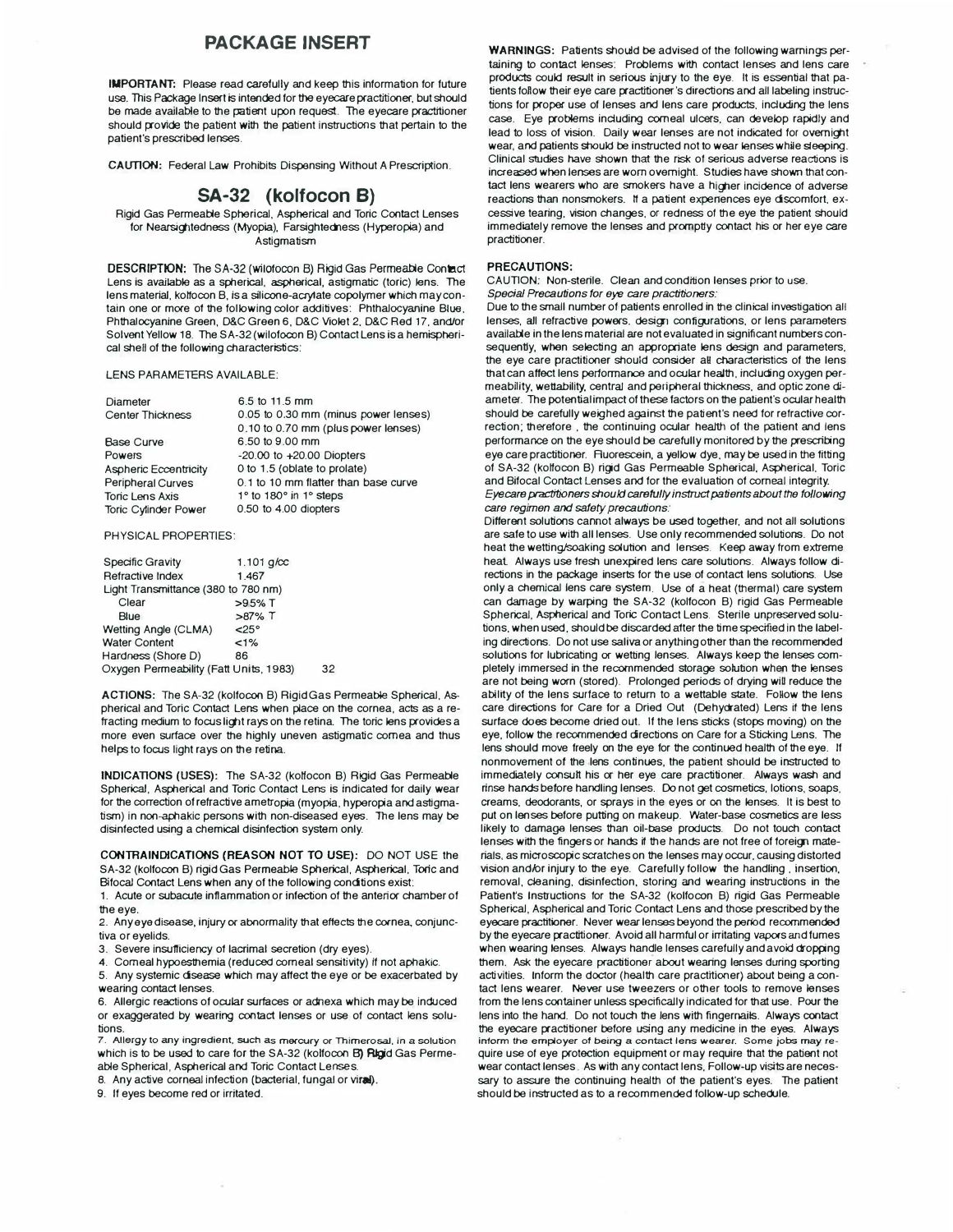# **PACKAGE INSERT**

**IMPORTANT:** Please read carefully and keep this information for future use. This Package Insert is intended for the eyecare practitioner, but should be made available to the patient upon request. The eyecare practitioner should provide the patient with the patient instructions that pertain to the patient's prescribed lenses.

**CAUTION:** Federal Law Prohibits Dispensing Without **A** Prescription.

## **SA-32 (kolfocon 8)**

Rigid Gas Permeable Spherical, Aspherical and Torie Contact Lenses for Nearsightedness (Myopia), Farsightedness (Hyperopia) and Astigmatism

**DESCRIPTION:** The SA-32 (wilofocon B) Rigid Gas Permeable Contact Lens is available as a spherical, aspherical, astigmatic (toric) lens. The lens material, kolfocon B, is a silicone-acrylate copolymer which may contain one or more of the following color additives: Phthalocyanine Blue. Phthalocyanine Green, D&C Green 6, D&C Violet 2, D&C Red 17, and/or Solvent Yellow 18. The SA-32 (wilofocon B) Contact Lens is a hemispherical shell of the following characteristics:

### LENS PARAMETERS AVAILABLE:

| <b>Diameter</b>             | 6.5 to 11.5 mm                       |
|-----------------------------|--------------------------------------|
| <b>Center Thickness</b>     | 0.05 to 0.30 mm (minus power lenses) |
|                             | 0.10 to 0.70 mm (plus power lenses)  |
| <b>Base Curve</b>           | 6.50 to 9.00 mm                      |
| Powers                      | $-20.00$ to $+20.00$ Diopters        |
| Aspheric Eccentricity       | 0 to 1.5 (oblate to prolate)         |
| <b>Peripheral Curves</b>    | 0.1 to 10 mm flatter than base curve |
| <b>Toric Lens Axis</b>      | 1° to 180° in 1° steps               |
| <b>Toric Cylinder Power</b> | 0.50 to 4.00 diopters                |
|                             |                                      |

#### PHYSICAL PROPERTIES:

| <b>Specific Gravity</b>                | 1.101 $q$ / $\csc$ |  |  |
|----------------------------------------|--------------------|--|--|
| <b>Refractive Index</b>                | 1467               |  |  |
| Light Transmittance (380 to 780 nm)    |                    |  |  |
| Clear                                  | $>95%$ T           |  |  |
| Blue                                   | $>87\%$ T          |  |  |
| Wetting Angle (CLMA)                   | $< 25^\circ$       |  |  |
| <b>Water Content</b>                   | $< 1\%$            |  |  |
| Hardness (Shore D)                     | 86                 |  |  |
| Oxygen Permeability (Fatt Units, 1983) | 32                 |  |  |
|                                        |                    |  |  |

**ACTIONS:** The SA-32 (kolfocon 8) Rigid Gas Permeable Spherical, Aspherical and Toric Contact Lens when place on the cornea, acts as a refracting medium to focus light rays on the retina. The toric lens provides a more even surface over the highly uneven astigmatic cornea and thus helps to focus light rays on the retina.

**INDICATIONS (USES):** The SA-32 (kottocon B) Rigid Gas Permeable Spherical, Aspherical and Torie Contact Lens is indicated for daily **wear**  for the correction of refractive ametropia *(myopia,* hyperopia and astigmatism) in non-aphakic persons with non-diseased eyes. The lens may be disinfected using a chemical disinfection system only.

CONTRAINDICATIONS (REASON NOT TO USE): DO NOT USE the SA-32 (kolfocon B) rigid Gas Permeable Spherical, Aspherical, Toric and Bifocal Contact Lens when any of the following condtions exis1:

1. Acute or subacute inflammation or infection of the anterior chamber or the eye.

2. Any *eye* disease, injury cr abnormality that effects the cornea, conjunctiva or eyelids.

3. Severe insufficiency of lacrimal secretion (dry eyes).

4. Corneal hypoesthemia (reduced corneal sensitivity) if not aphakic.

5. Any systemic dsease which may affect the *eye* or be exacerbated by wearing contact lenses.

6. Allergic reactions of ocular surfaces or adnexa which *may* be induced or exaggerated by **wearing** contact lenses or use of contact lens solutions.

7. Allergy to any ingredient, such as mercury or Thimerosal, in a solution which is to be used to care for the SA-32 (kolfocon B) Rigid Gas Permeable Spherical, Aspherical and Torie Contact Lenses.

8. Any active corneal infection {bacterial. fungal or **viral).** 

9. If eyes become red or irritated.

**WARNINGS:** Patients should be advised of the following warnings pertaining to contact lenses: Problems **with** contact lenses and lens care products could result in serious injury to the eye. It is essential that patients follow their eye care practitioner's directions and all labeling instructions for proper use of lenses and lens care products. induding the lens case. Eye problems induding corneal ulcers. can develop rapidly and lead to loss of vision. Daily wear lenses are not indicated for overnight wear, and patients should be instructed not to wear lenses while sleeping. Clinical studies have shown that the risk of serious adverse reactions is increased when lenses are worn overnight. Studies have shown that contact lens wearers who are smokers have a higher incidence of adverse reactions than nonsmokers. If a patient expenences *eye* dscomfort. excessive tearing, vision changes, or redness of the eye the patient should immediately remove the lenses and promptly contact his or her eye care practitioner.

## **PRECAUTIONS:**

CAUTION: Non-sterile. Clean and condition lenses prior to use. *Special Precautions for eye* care *practitioners:* 

Due to the small number of patients enrolled in the clinical investigation all lenses, all refractive powers, design configurations, or lens parameters available in the lens material are not evalualed in significant numbers consequently, when selecting an appropriate lens design and parameters, the eye care practitioner should consider all characteristics of the lens that can affect lens performance and ocular health, indudng oxygen permeability, wettability, central and peripheral thickness, and optic zone diameter. The potential impact of these factors on the patient's ocular health should be carefully weighed against the patient's need for refractive correction; therefore, the continuing ocular health of the patient and lens performance on the *eye* should be carefully monitored by the prescribing eye care practitioner. Ruorescein, a yellow dye, may be used in the fitting of SA-32 (kottocon B) rigid Gas Permeable Spherical. Aspherical. Torie and Bifocal Contact Lenses and for the evaluation of corneal integrity.

*Eye care practitioners should carefully instruct patients about the following care regimen and safety precautions:* 

Different solutions camot **always** be used together. and not all solutions are safe to use **with** all lenses. Use only recommended solutions. Do not heat the wetting/soaking solution and lenses. Keep away from extreme heat Always use fresh unexpired lens care solutions. Always follow directions in the package inserts for the use of contact lens solutions. Use only a chemical lens care system. Use of a heat (thermal) care system can damage by warping the SA-32 (kolfocon 8) rigid Gas Permeable Spherical, Aspherical and Torie Contact Lens. Sterile unpreserved solutions, when used, should be discarded after the time specified in the labeling directions. Do not use saliva or anything other than the recommended solutions for lubricating or wetting lenses. Always keep the lenses completely immersed in the recommended storage solution when the lenses are not being worn (stored). Prolonged periods of drying will reduce the ability of the lens surface to return to a wettable state. Follow the lens care directions for Care for a Dried Out (Dehydrated) Lens if the lens surface does become dried out. If the lens sticks (stops moving) on the eye, follow the recommended directions on Care for a Sticking Lens. The lens should move freely on the eye for the continued health of the eye. If nonmovement of the lens continues. the patient should be instructed to immediately consult his or her eye care practitioner. Always wash and rinse hands before handling lenses. Do not get cosmetics, lotions. soaps, creams. deoclorants, or sprays in the *eyes* or on the lenses. It is bes1 to put on lenses before putting on makeup. Water-base cosmetics are less likely to damage lenses than oil-base products. Do not touch contact lenses with the fingers or hands if the hands are not free of foreign materials, as microscopic scratches on the lenses may occur, causing distorted vision and/or injury to the eye. Carefully follow the handling , insertion, removal, cleaning, disinfection, storing and wearing instructions in the Patient's Instructions for the SA-32 (kolfocon B) rigid Gas Permeable Spherical, Aspherical and Torie Contact Lens and those prescribed by the eyecare practitioner. Never wear lenses beyond the penod recommended by the eyecare practitioner. Avoid all harmful or irritating vapors and fumes when wearing lenses. Always handle lenses carefully and avoid dropping them. Ask the eyecare practitioner about wearing lenses during sporting activities. Inform the doctor (health care practitioner) about being a contact lens wearer. Never use tweezers or other tools to remove lenses from the lens container unless specifically indicated for that use. Pour the lens into the hand. Do not touch the lens **with** fingernails. Always contact the eyecare practitioner before using any medicine in the eyes. Always **inform the employer of being a contact lens wearer. Some jobs may re**quire use of eye protection equipment or *may* require that the patient not wear contact lenses As with any contact lens, Follow-up visits are necessary to assure the continuing health of the patient's eyes. The patient should be instructed as to a recommended follow-up schedule.